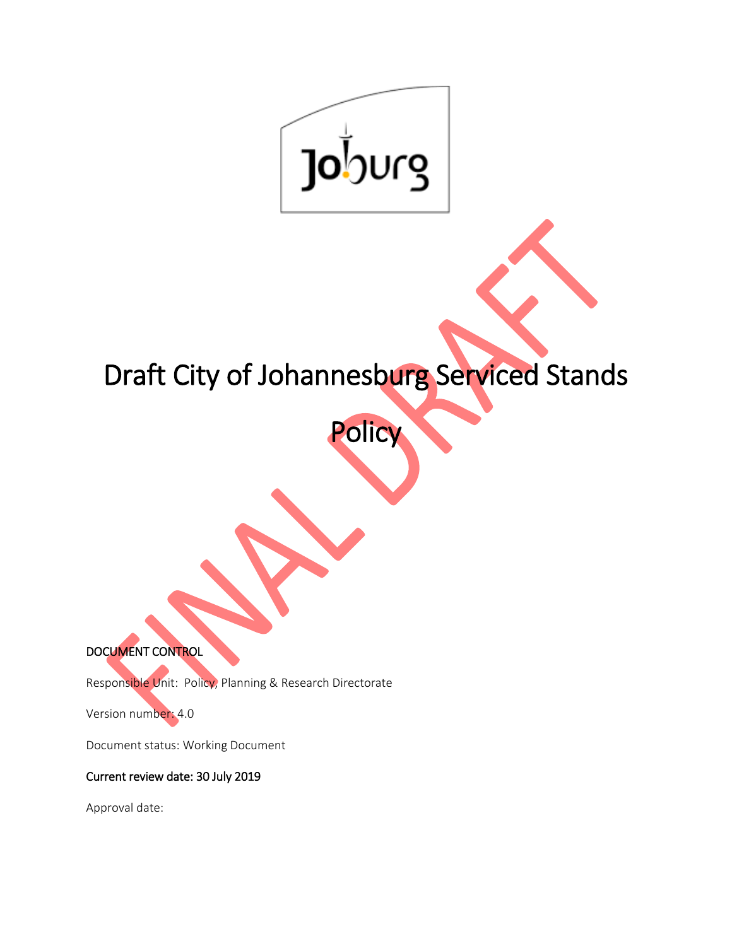

# Draft City of Johannesburg Serviced Stands

Policy

DOCUMENT CONTROL

Responsible Unit: Policy, Planning & Research Directorate

Version number: 4.0

Document status: Working Document

Current review date: 30 July 2019

Approval date: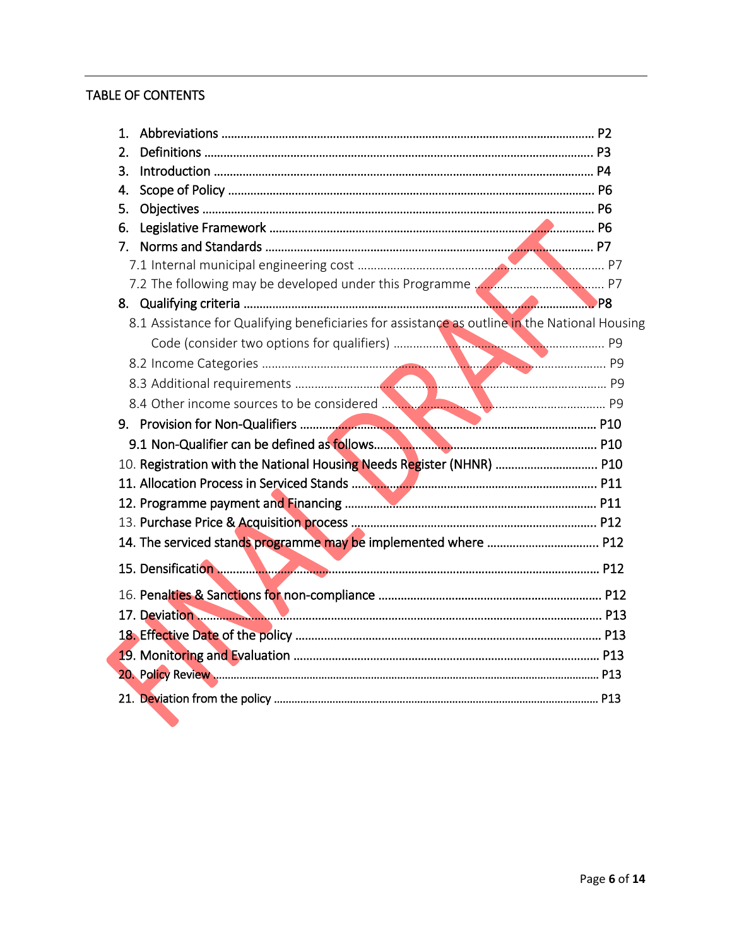# TABLE OF CONTENTS

| 1.                                                                                            |  |
|-----------------------------------------------------------------------------------------------|--|
| 2.                                                                                            |  |
| 3.                                                                                            |  |
| 4.                                                                                            |  |
| 5.                                                                                            |  |
| 6.                                                                                            |  |
| 7 <sub>1</sub>                                                                                |  |
|                                                                                               |  |
|                                                                                               |  |
|                                                                                               |  |
| 8.1 Assistance for Qualifying beneficiaries for assistance as outline in the National Housing |  |
|                                                                                               |  |
|                                                                                               |  |
|                                                                                               |  |
|                                                                                               |  |
|                                                                                               |  |
|                                                                                               |  |
| 10. Registration with the National Housing Needs Register (NHNR)  P10                         |  |
|                                                                                               |  |
|                                                                                               |  |
|                                                                                               |  |
|                                                                                               |  |
|                                                                                               |  |
|                                                                                               |  |
|                                                                                               |  |
|                                                                                               |  |
|                                                                                               |  |
|                                                                                               |  |
|                                                                                               |  |
|                                                                                               |  |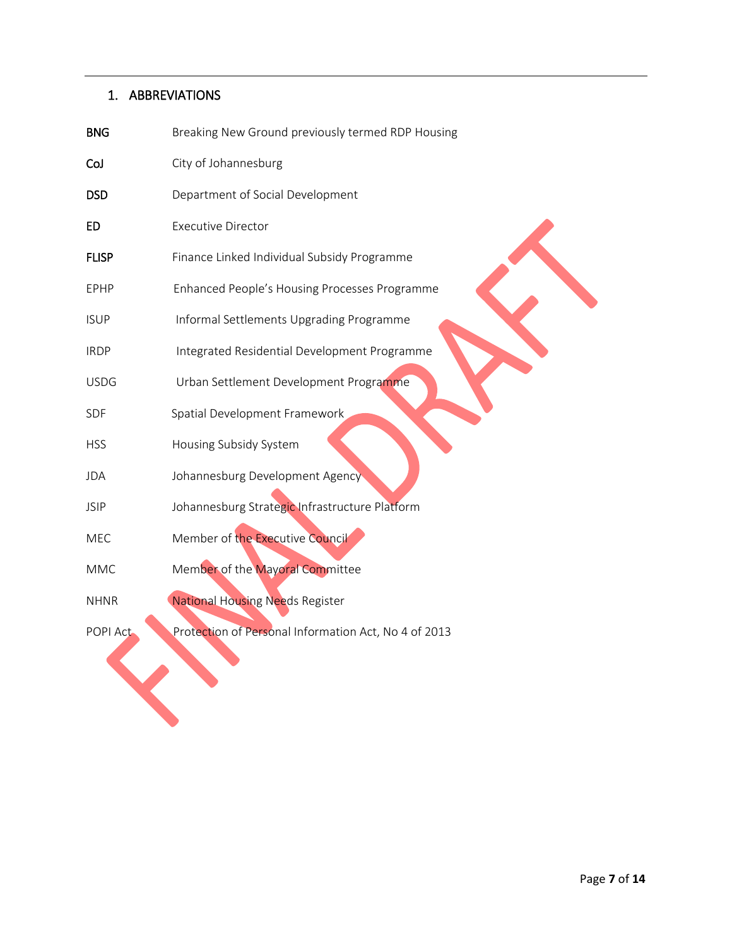# 1. ABBREVIATIONS

| <b>BNG</b>   | Breaking New Ground previously termed RDP Housing    |
|--------------|------------------------------------------------------|
| CoJ          | City of Johannesburg                                 |
| <b>DSD</b>   | Department of Social Development                     |
| ED           | <b>Executive Director</b>                            |
| <b>FLISP</b> | Finance Linked Individual Subsidy Programme          |
| EPHP         | Enhanced People's Housing Processes Programme        |
| <b>ISUP</b>  | Informal Settlements Upgrading Programme             |
| <b>IRDP</b>  | Integrated Residential Development Programme         |
| <b>USDG</b>  | Urban Settlement Development Programme               |
| SDF          | Spatial Development Framework                        |
| <b>HSS</b>   | Housing Subsidy System                               |
| <b>JDA</b>   | Johannesburg Development Agency                      |
| <b>JSIP</b>  | Johannesburg Strategic Infrastructure Platform       |
| MEC          | Member of the Executive Council                      |
| <b>MMC</b>   | Member of the Mayoral Committee                      |
| <b>NHNR</b>  | <b>National Housing Needs Register</b>               |
| POPI Act     | Protection of Personal Information Act, No 4 of 2013 |
|              |                                                      |
|              |                                                      |
|              |                                                      |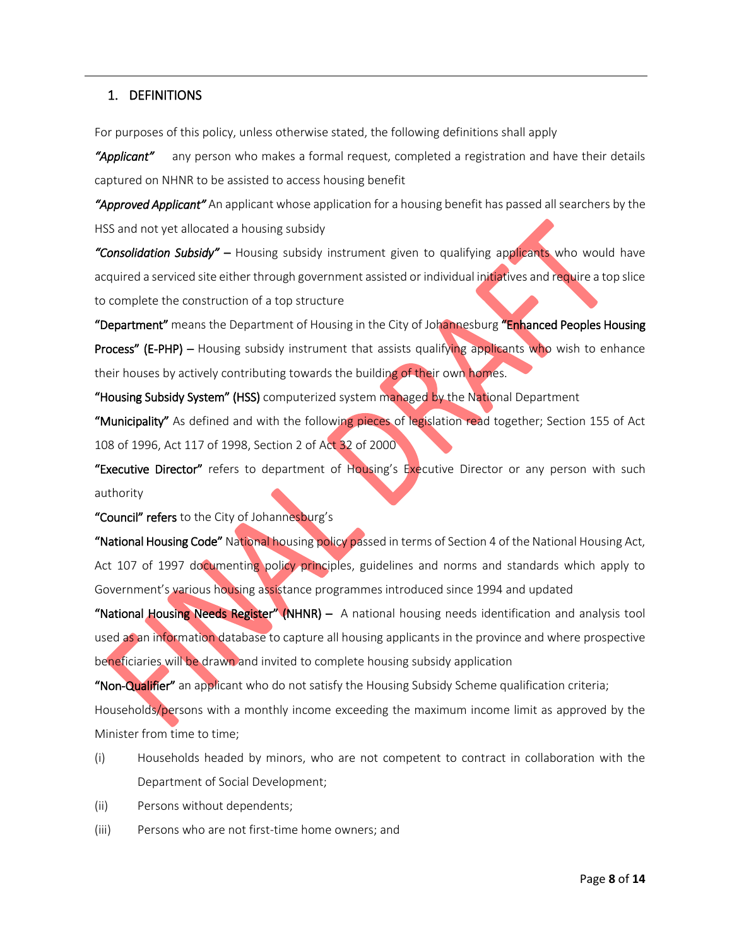## 1. DEFINITIONS

For purposes of this policy, unless otherwise stated, the following definitions shall apply

*"Applicant"* any person who makes a formal request, completed a registration and have their details captured on NHNR to be assisted to access housing benefit

*"Approved Applicant"* An applicant whose application for a housing benefit has passed all searchers by the HSS and not yet allocated a housing subsidy

*"Consolidation Subsidy"* – Housing subsidy instrument given to qualifying applicants who would have acquired a serviced site either through government assisted or individual initiatives and require a top slice to complete the construction of a top structure

"Department" means the Department of Housing in the City of Johannesburg "Enhanced Peoples Housing Process" (E-PHP) – Housing subsidy instrument that assists qualifying applicants who wish to enhance their houses by actively contributing towards the building of their own homes.

"Housing Subsidy System" (HSS) computerized system managed by the National Department

"Municipality" As defined and with the following pieces of legislation read together; Section 155 of Act 108 of 1996, Act 117 of 1998, Section 2 of Act 32 of 2000

"Executive Director" refers to department of Housing's Executive Director or any person with such authority

"Council" refers to the City of Johannesburg's

"National Housing Code" National housing policy passed in terms of Section 4 of the National Housing Act, Act 107 of 1997 documenting policy principles, guidelines and norms and standards which apply to Government's various housing assistance programmes introduced since 1994 and updated

"National Housing Needs Register" (NHNR) – A national housing needs identification and analysis tool used as an information database to capture all housing applicants in the province and where prospective beneficiaries will be drawn and invited to complete housing subsidy application

"Non-Qualifier" an applicant who do not satisfy the Housing Subsidy Scheme qualification criteria; Households/persons with a monthly income exceeding the maximum income limit as approved by the Minister from time to time;

- (i) Households headed by minors, who are not competent to contract in collaboration with the Department of Social Development;
- (ii) Persons without dependents;
- (iii) Persons who are not first-time home owners; and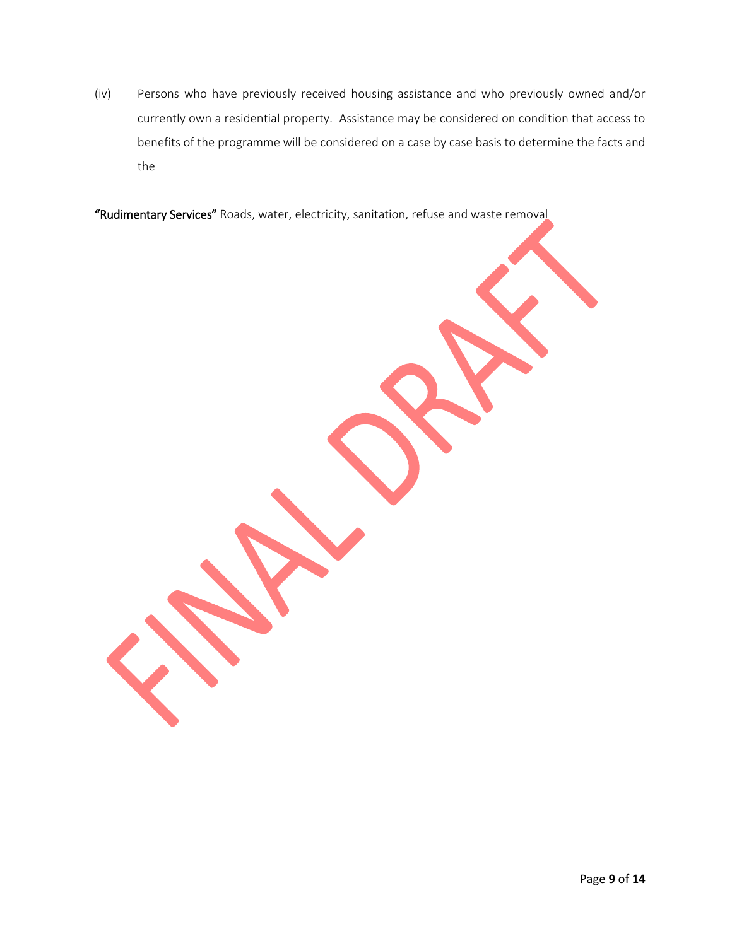(iv) Persons who have previously received housing assistance and who previously owned and/or currently own a residential property. Assistance may be considered on condition that access to benefits of the programme will be considered on a case by case basis to determine the facts and the

"Rudimentary Services" Roads, water, electricity, sanitation, refuse and waste removal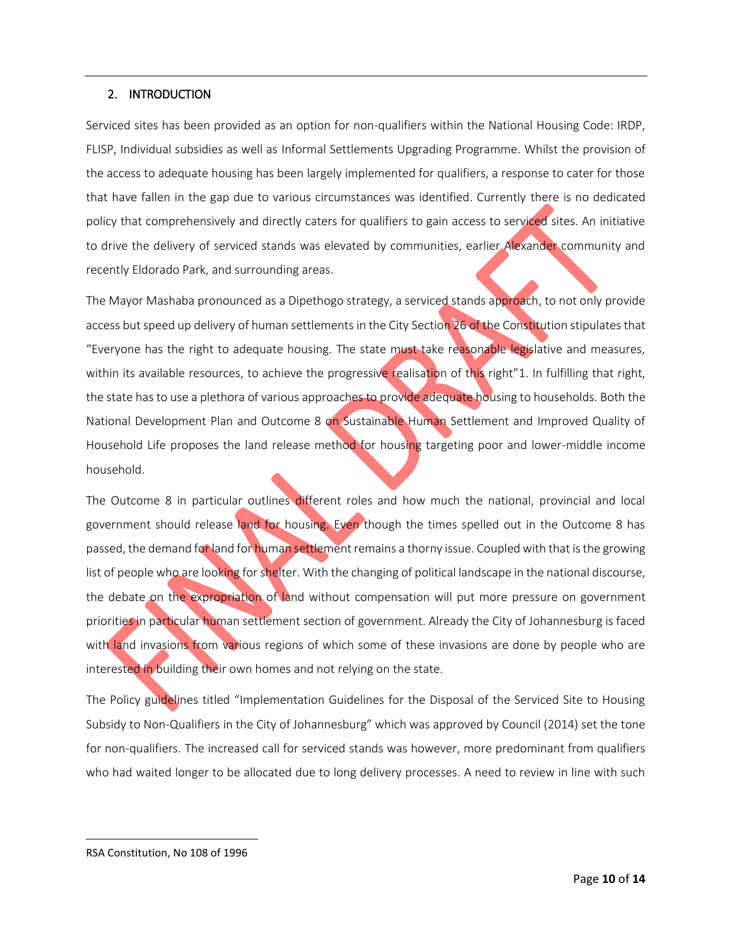#### 2. INTRODUCTION

Serviced sites has been provided as an option for non-qualifiers within the National Housing Code: IRDP, FLISP, Individual subsidies as well as Informal Settlements Upgrading Programme. Whilst the provision of the access to adequate housing has been largely implemented for qualifiers, a response to cater for those that have fallen in the gap due to various circumstances was identified. Currently there is no dedicated policy that comprehensively and directly caters for qualifiers to gain access to serviced sites. An initiative to drive the delivery of serviced stands was elevated by communities, earlier Alexander community and recently Eldorado Park, and surrounding areas.

The Mayor Mashaba pronounced as a Dipethogo strategy, a serviced stands approach, to not only provide access but speed up delivery of human settlements in the City Section 26 of the Constitution stipulates that "Everyone has the right to adequate housing. The state must take reasonable legislative and measures, within its available resources, to achieve the progressive realisation of this right"1. In fulfilling that right, the state has to use a plethora of various approaches to provide adequate housing to households. Both the National Development Plan and Outcome 8 on Sustainable Human Settlement and Improved Quality of Household Life proposes the land release method for housing targeting poor and lower-middle income household.

The Outcome 8 in particular outlines different roles and how much the national, provincial and local government should release land for housing. Even though the times spelled out in the Outcome 8 has passed, the demand for land for human settlement remains a thorny issue. Coupled with that is the growing list of people who are looking for shelter. With the changing of political landscape in the national discourse, the debate on the expropriation of land without compensation will put more pressure on government priorities in particular human settlement section of government. Already the City of Johannesburg is faced with land invasions from various regions of which some of these invasions are done by people who are interested in building their own homes and not relying on the state.

The Policy guidelines titled "Implementation Guidelines for the Disposal of the Serviced Site to Housing Subsidy to Non-Qualifiers in the City of Johannesburg" which was approved by Council (2014) set the tone for non-qualifiers. The increased call for serviced stands was however, more predominant from qualifiers who had waited longer to be allocated due to long delivery processes. A need to review in line with such

 $\overline{\phantom{a}}$ 

RSA Constitution, No 108 of 1996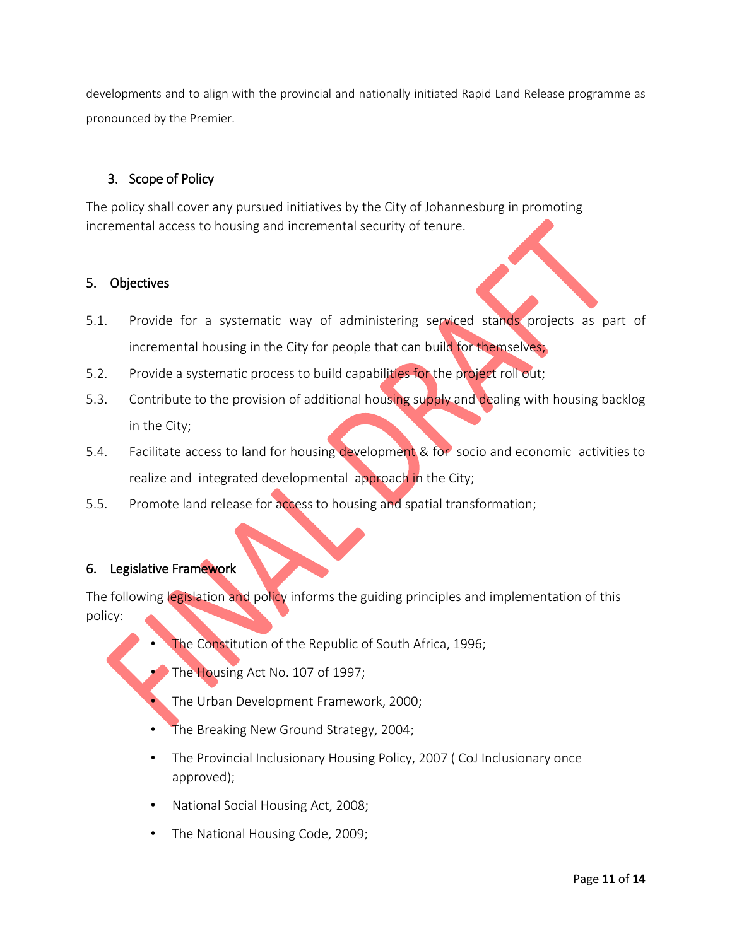developments and to align with the provincial and nationally initiated Rapid Land Release programme as pronounced by the Premier.

## 3. Scope of Policy

The policy shall cover any pursued initiatives by the City of Johannesburg in promoting incremental access to housing and incremental security of tenure.

## 5. Objectives

- 5.1. Provide for a systematic way of administering serviced stands projects as part of incremental housing in the City for people that can build for themselves;
- 5.2. Provide a systematic process to build capabilities for the project roll out;
- 5.3. Contribute to the provision of additional housing supply and dealing with housing backlog in the City;
- 5.4. Facilitate access to land for housing development & for socio and economic activities to realize and integrated developmental approach in the City;
- 5.5. Promote land release for access to housing and spatial transformation;

#### 6. Legislative Framework

The following legislation and policy informs the guiding principles and implementation of this policy:

- The Constitution of the Republic of South Africa, 1996;
- The Housing Act No. 107 of 1997;
	- The Urban Development Framework, 2000;
- The Breaking New Ground Strategy, 2004;
- The Provincial Inclusionary Housing Policy, 2007 ( CoJ Inclusionary once approved);
- National Social Housing Act, 2008;
- The National Housing Code, 2009;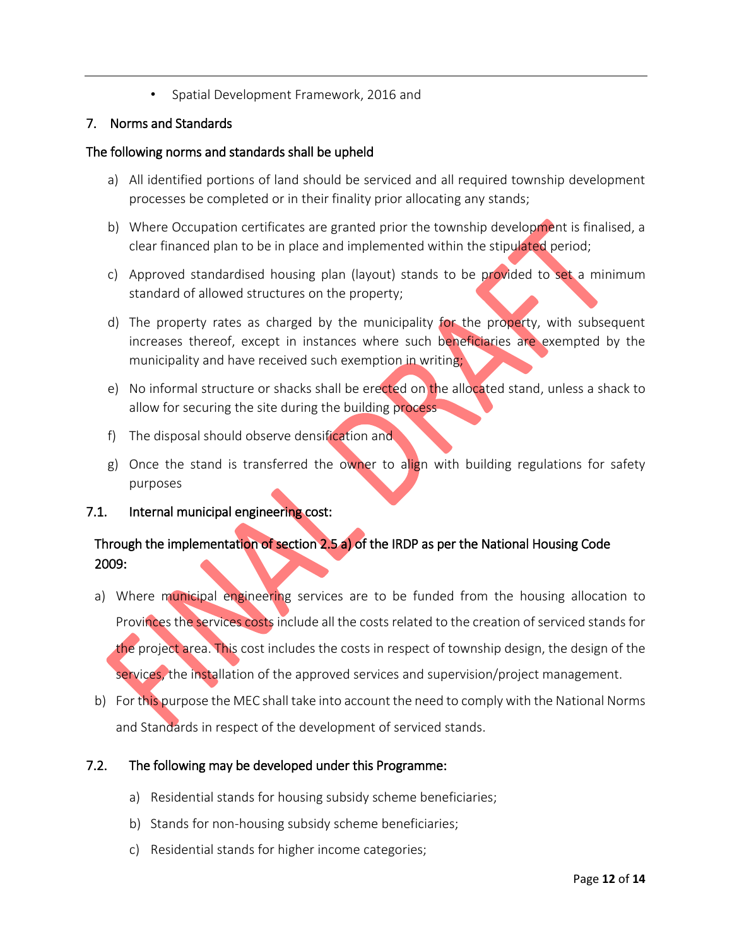• Spatial Development Framework, 2016 and

## 7. Norms and Standards

#### The following norms and standards shall be upheld

- a) All identified portions of land should be serviced and all required township development processes be completed or in their finality prior allocating any stands;
- b) Where Occupation certificates are granted prior the township development is finalised, a clear financed plan to be in place and implemented within the stipulated period;
- c) Approved standardised housing plan (layout) stands to be provided to set a minimum standard of allowed structures on the property;
- d) The property rates as charged by the municipality for the property, with subsequent increases thereof, except in instances where such beneficiaries are exempted by the municipality and have received such exemption in writing;
- e) No informal structure or shacks shall be erected on the allocated stand, unless a shack to allow for securing the site during the building process
- f) The disposal should observe densification and
- g) Once the stand is transferred the owner to align with building regulations for safety purposes
- 7.1. Internal municipal engineering cost:

# Through the implementation of section 2.5 a) of the IRDP as per the National Housing Code 2009:

- a) Where municipal engineering services are to be funded from the housing allocation to Provinces the services costs include all the costs related to the creation of serviced stands for the project area. This cost includes the costs in respect of township design, the design of the services, the installation of the approved services and supervision/project management.
- b) For this purpose the MEC shall take into account the need to comply with the National Norms and Standards in respect of the development of serviced stands.

# 7.2. The following may be developed under this Programme:

- a) Residential stands for housing subsidy scheme beneficiaries;
- b) Stands for non-housing subsidy scheme beneficiaries;
- c) Residential stands for higher income categories;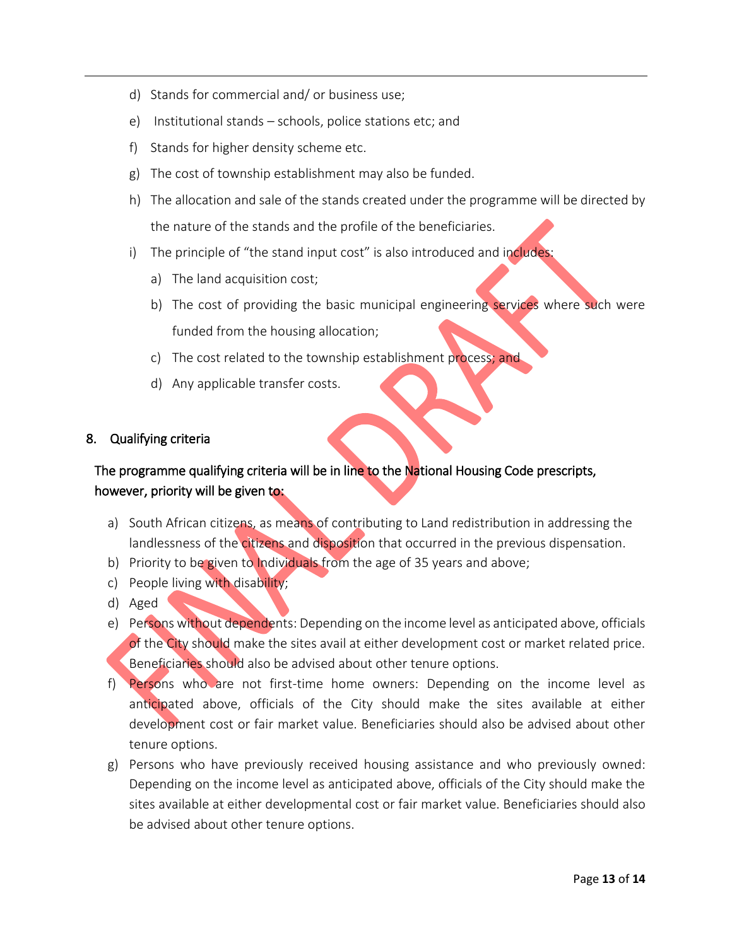- d) Stands for commercial and/ or business use;
- e) Institutional stands schools, police stations etc; and
- f) Stands for higher density scheme etc.
- g) The cost of township establishment may also be funded.
- h) The allocation and sale of the stands created under the programme will be directed by the nature of the stands and the profile of the beneficiaries.
- i) The principle of "the stand input cost" is also introduced and includes:
	- a) The land acquisition cost;
	- b) The cost of providing the basic municipal engineering services where such were funded from the housing allocation;
	- c) The cost related to the township establishment process; and
	- d) Any applicable transfer costs.

#### 8. Qualifying criteria

# The programme qualifying criteria will be in line to the National Housing Code prescripts, however, priority will be given to:

- a) South African citizens, as means of contributing to Land redistribution in addressing the landlessness of the citizens and disposition that occurred in the previous dispensation.
- b) Priority to be given to Individuals from the age of 35 years and above;
- c) People living with disability;
- d) Aged
- e) Persons without dependents: Depending on the income level as anticipated above, officials of the City should make the sites avail at either development cost or market related price. Beneficiaries should also be advised about other tenure options.
- f) Persons who are not first-time home owners: Depending on the income level as anticipated above, officials of the City should make the sites available at either development cost or fair market value. Beneficiaries should also be advised about other tenure options.
- g) Persons who have previously received housing assistance and who previously owned: Depending on the income level as anticipated above, officials of the City should make the sites available at either developmental cost or fair market value. Beneficiaries should also be advised about other tenure options.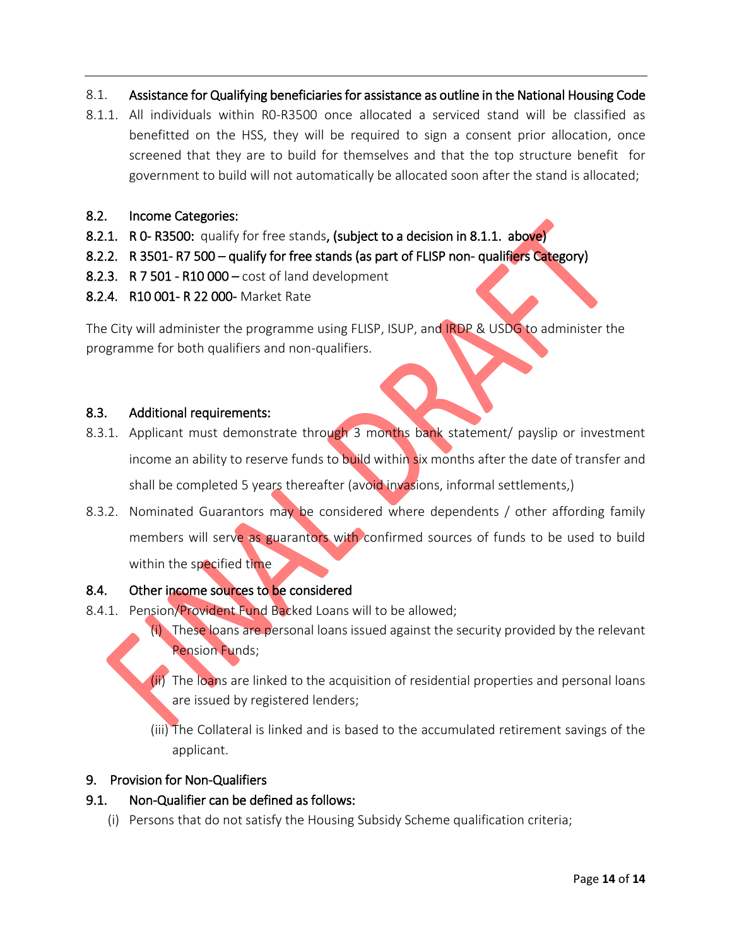- 8.1. Assistance for Qualifying beneficiaries for assistance as outline in the National Housing Code
- 8.1.1. All individuals within R0-R3500 once allocated a serviced stand will be classified as benefitted on the HSS, they will be required to sign a consent prior allocation, once screened that they are to build for themselves and that the top structure benefit for government to build will not automatically be allocated soon after the stand is allocated;
- 8.2. Income Categories:
- 8.2.1. R 0- R3500: qualify for free stands, (subject to a decision in 8.1.1. above)
- 8.2.2. R 3501- R7 500 qualify for free stands (as part of FLISP non- qualifiers Category)
- 8.2.3. R 7 501 R10 000 cost of land development
- 8.2.4. R10 001- R 22 000- Market Rate

The City will administer the programme using FLISP, ISUP, and IRDP & USDG to administer the programme for both qualifiers and non-qualifiers.

## 8.3. Additional requirements:

- 8.3.1. Applicant must demonstrate through 3 months bank statement/ payslip or investment income an ability to reserve funds to build within six months after the date of transfer and shall be completed 5 years thereafter (avoid invasions, informal settlements,)
- 8.3.2. Nominated Guarantors may be considered where dependents / other affording family members will serve as guarantors with confirmed sources of funds to be used to build within the specified time

# 8.4. Other income sources to be considered

- 8.4.1. Pension/Provident Fund Backed Loans will to be allowed;
	- (i) These loans are personal loans issued against the security provided by the relevant Pension Funds;
	- (ii) The loans are linked to the acquisition of residential properties and personal loans are issued by registered lenders;
	- (iii) The Collateral is linked and is based to the accumulated retirement savings of the applicant.

#### 9. Provision for Non-Qualifiers

# 9.1. Non-Qualifier can be defined as follows:

(i) Persons that do not satisfy the Housing Subsidy Scheme qualification criteria;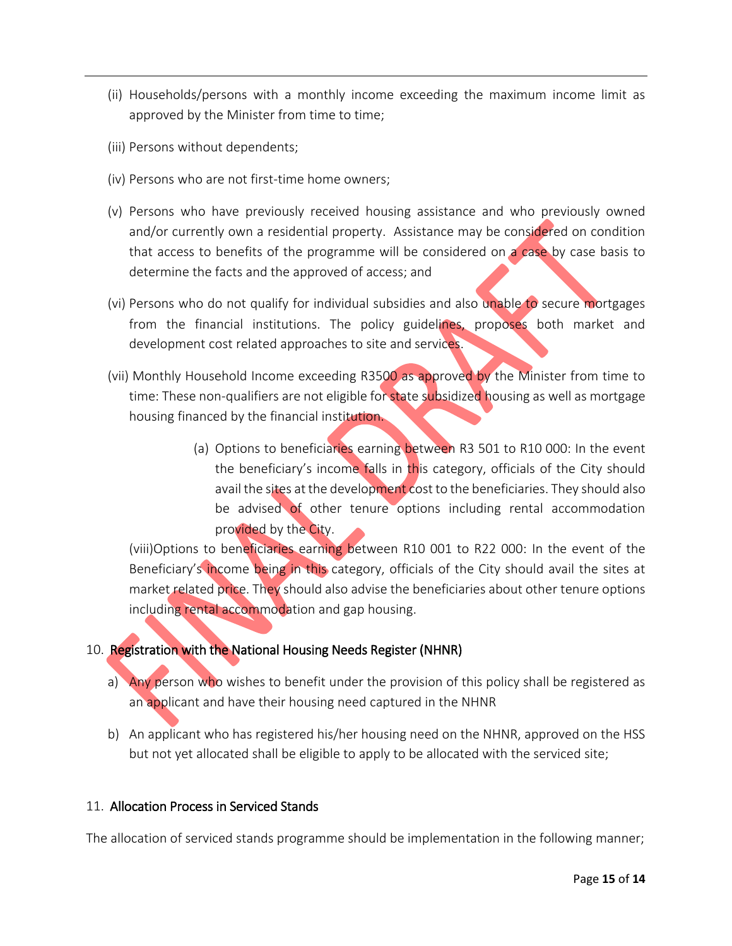- (ii) Households/persons with a monthly income exceeding the maximum income limit as approved by the Minister from time to time;
- (iii) Persons without dependents;
- (iv) Persons who are not first-time home owners;
- (v) Persons who have previously received housing assistance and who previously owned and/or currently own a residential property. Assistance may be considered on condition that access to benefits of the programme will be considered on a case by case basis to determine the facts and the approved of access; and
- (vi) Persons who do not qualify for individual subsidies and also unable to secure mortgages from the financial institutions. The policy guidelines, proposes both market and development cost related approaches to site and services.
- (vii) Monthly Household Income exceeding R3500 as approved by the Minister from time to time: These non-qualifiers are not eligible for state subsidized housing as well as mortgage housing financed by the financial institution.
	- (a) Options to beneficiaries earning between R3 501 to R10 000: In the event the beneficiary's income falls in this category, officials of the City should avail the sites at the development cost to the beneficiaries. They should also be advised of other tenure options including rental accommodation provided by the City.

(viii)Options to beneficiaries earning between R10 001 to R22 000: In the event of the Beneficiary's income being in this category, officials of the City should avail the sites at market related price. They should also advise the beneficiaries about other tenure options including rental accommodation and gap housing.

# 10. Registration with the National Housing Needs Register (NHNR)

- a) Any person who wishes to benefit under the provision of this policy shall be registered as an applicant and have their housing need captured in the NHNR
- b) An applicant who has registered his/her housing need on the NHNR, approved on the HSS but not yet allocated shall be eligible to apply to be allocated with the serviced site;

# 11. Allocation Process in Serviced Stands

The allocation of serviced stands programme should be implementation in the following manner;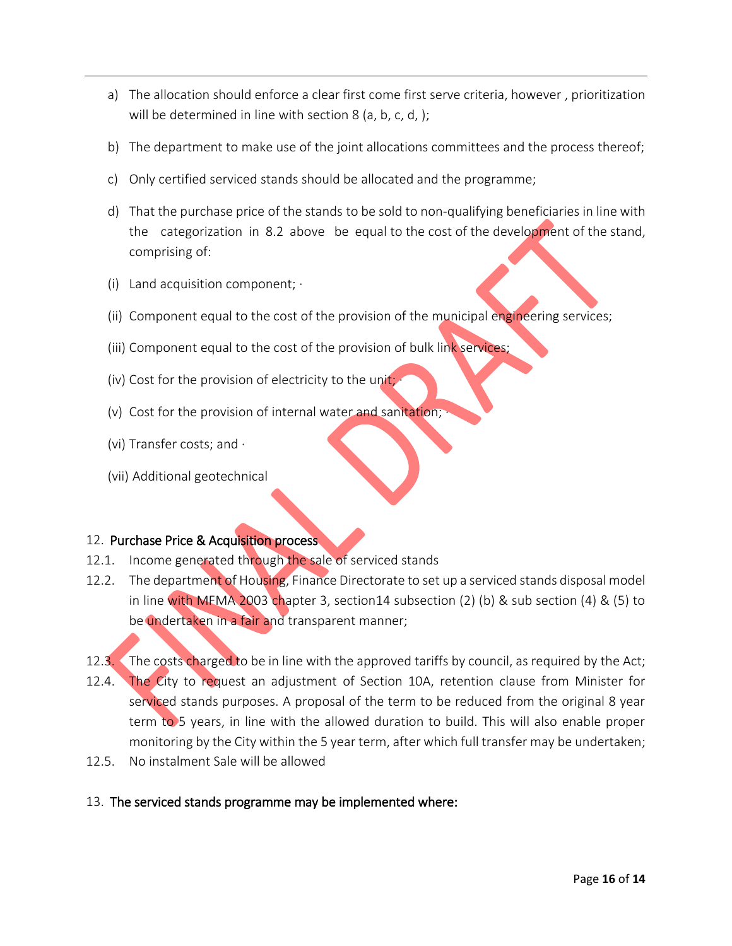- a) The allocation should enforce a clear first come first serve criteria, however , prioritization will be determined in line with section 8 (a, b, c, d, );
- b) The department to make use of the joint allocations committees and the process thereof;
- c) Only certified serviced stands should be allocated and the programme;
- d) That the purchase price of the stands to be sold to non-qualifying beneficiaries in line with the categorization in 8.2 above be equal to the cost of the development of the stand, comprising of:
- (i) Land acquisition component;  $\cdot$
- (ii) Component equal to the cost of the provision of the municipal engineering services;
- (iii) Component equal to the cost of the provision of bulk link services;
- (iv) Cost for the provision of electricity to the unit;
- (v) Cost for the provision of internal water and sanitation;
- (vi) Transfer costs; and ·
- (vii) Additional geotechnical

#### 12. Purchase Price & Acquisition process

- 12.1. Income generated through the sale of serviced stands
- 12.2. The department of Housing, Finance Directorate to set up a serviced stands disposal model in line with MFMA 2003 chapter 3, section14 subsection (2) (b) & sub section (4) & (5) to be undertaken in a fair and transparent manner;
- 12.3. The costs charged to be in line with the approved tariffs by council, as required by the Act; 12.4. The City to request an adjustment of Section 10A, retention clause from Minister for serviced stands purposes. A proposal of the term to be reduced from the original 8 year term to 5 years, in line with the allowed duration to build. This will also enable proper monitoring by the City within the 5 year term, after which full transfer may be undertaken;
- 12.5. No instalment Sale will be allowed

#### 13. The serviced stands programme may be implemented where: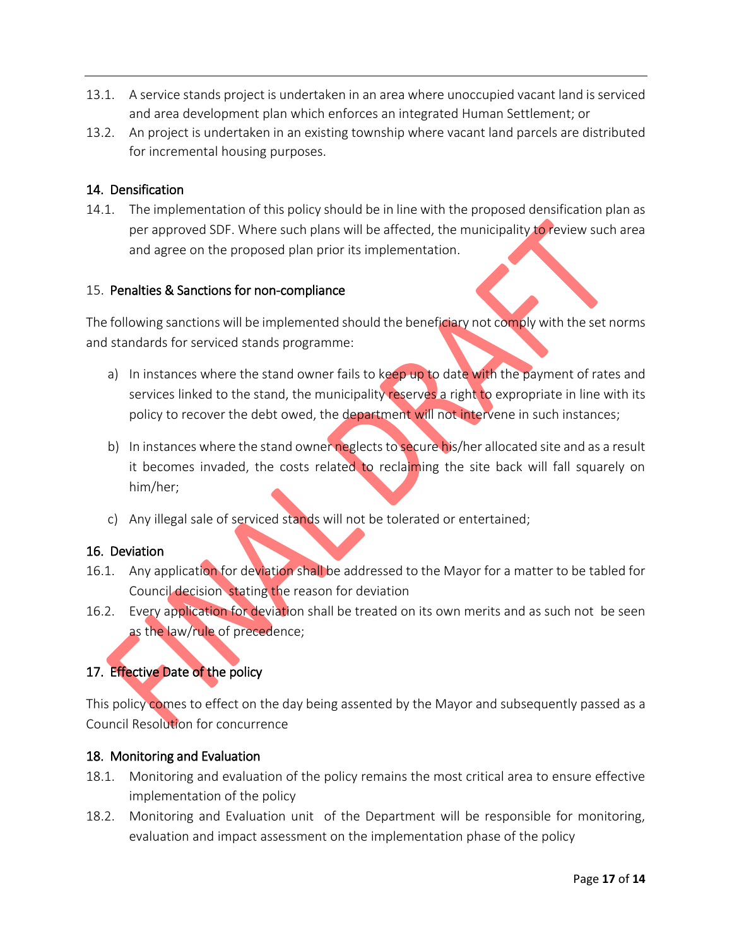- 13.1. A service stands project is undertaken in an area where unoccupied vacant land is serviced and area development plan which enforces an integrated Human Settlement; or
- 13.2. An project is undertaken in an existing township where vacant land parcels are distributed for incremental housing purposes.

## 14. Densification

14.1. The implementation of this policy should be in line with the proposed densification plan as per approved SDF. Where such plans will be affected, the municipality to review such area and agree on the proposed plan prior its implementation.

#### 15. Penalties & Sanctions for non-compliance

The following sanctions will be implemented should the beneficiary not comply with the set norms and standards for serviced stands programme:

- a) In instances where the stand owner fails to keep up to date with the payment of rates and services linked to the stand, the municipality reserves a right to expropriate in line with its policy to recover the debt owed, the department will not intervene in such instances;
- b) In instances where the stand owner neglects to secure his/her allocated site and as a result it becomes invaded, the costs related to reclaiming the site back will fall squarely on him/her;
- c) Any illegal sale of serviced stands will not be tolerated or entertained;

# 16. Deviation

- 16.1. Any application for deviation shall be addressed to the Mayor for a matter to be tabled for Council decision stating the reason for deviation
- 16.2. Every application for deviation shall be treated on its own merits and as such not be seen as the law/rule of precedence;

# 17. Effective Date of the policy

This policy comes to effect on the day being assented by the Mayor and subsequently passed as a Council Resolution for concurrence

# 18. Monitoring and Evaluation

- 18.1. Monitoring and evaluation of the policy remains the most critical area to ensure effective implementation of the policy
- 18.2. Monitoring and Evaluation unit of the Department will be responsible for monitoring, evaluation and impact assessment on the implementation phase of the policy